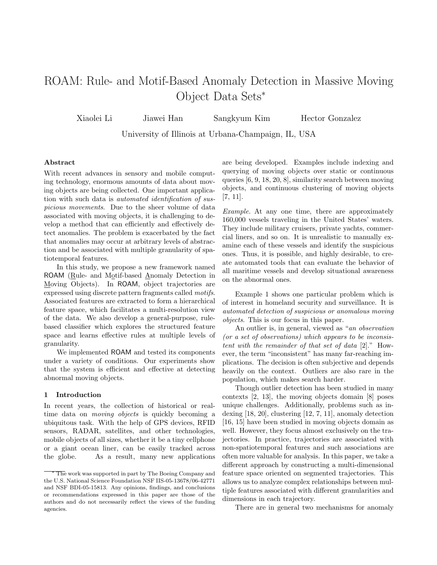# ROAM: Rule- and Motif-Based Anomaly Detection in Massive Moving Object Data Sets<sup>∗</sup>

Xiaolei Li Jiawei Han Sangkyum Kim Hector Gonzalez

University of Illinois at Urbana-Champaign, IL, USA

## Abstract

With recent advances in sensory and mobile computing technology, enormous amounts of data about moving objects are being collected. One important application with such data is automated identification of suspicious movements. Due to the sheer volume of data associated with moving objects, it is challenging to develop a method that can efficiently and effectively detect anomalies. The problem is exacerbated by the fact that anomalies may occur at arbitrary levels of abstraction and be associated with multiple granularity of spatiotemporal features.

In this study, we propose a new framework named ROAM (Rule- and Motif-based Anomaly Detection in Moving Objects). In ROAM, object trajectories are expressed using discrete pattern fragments called motifs. Associated features are extracted to form a hierarchical feature space, which facilitates a multi-resolution view of the data. We also develop a general-purpose, rulebased classifier which explores the structured feature space and learns effective rules at multiple levels of granularity.

We implemented ROAM and tested its components under a variety of conditions. Our experiments show that the system is efficient and effective at detecting abnormal moving objects.

## 1 Introduction

In recent years, the collection of historical or realtime data on *moving objects* is quickly becoming a ubiquitous task. With the help of GPS devices, RFID sensors, RADAR, satellites, and other technologies, mobile objects of all sizes, whether it be a tiny cellphone or a giant ocean liner, can be easily tracked across the globe. As a result, many new applications are being developed. Examples include indexing and querying of moving objects over static or continuous queries [6, 9, 18, 20, 8], similarity search between moving objects, and continuous clustering of moving objects [7, 11].

Example. At any one time, there are approximately 160,000 vessels traveling in the United States' waters. They include military cruisers, private yachts, commercial liners, and so on. It is unrealistic to manually examine each of these vessels and identify the suspicious ones. Thus, it is possible, and highly desirable, to create automated tools that can evaluate the behavior of all maritime vessels and develop situational awareness on the abnormal ones.

Example 1 shows one particular problem which is of interest in homeland security and surveillance. It is automated detection of suspicious or anomalous moving objects. This is our focus in this paper.

An outlier is, in general, viewed as "an observation" (or a set of observations) which appears to be inconsistent with the remainder of that set of data [2]." However, the term "inconsistent" has many far-reaching implications. The decision is often subjective and depends heavily on the context. Outliers are also rare in the population, which makes search harder.

Though outlier detection has been studied in many contexts [2, 13], the moving objects domain [8] poses unique challenges. Additionally, problems such as indexing [18, 20], clustering [12, 7, 11], anomaly detection [16, 15] have been studied in moving objects domain as well. However, they focus almost exclusively on the trajectories. In practice, trajectories are associated with non-spatiotemporal features and such associations are often more valuable for analysis. In this paper, we take a different approach by constructing a multi-dimensional feature space oriented on segmented trajectories. This allows us to analyze complex relationships between multiple features associated with different granularities and dimensions in each trajectory.

There are in general two mechanisms for anomaly

The work was supported in part by The Boeing Company and the U.S. National Science Foundation NSF IIS-05-13678/06-42771 and NSF BDI-05-15813. Any opinions, findings, and conclusions or recommendations expressed in this paper are those of the authors and do not necessarily reflect the views of the funding agencies.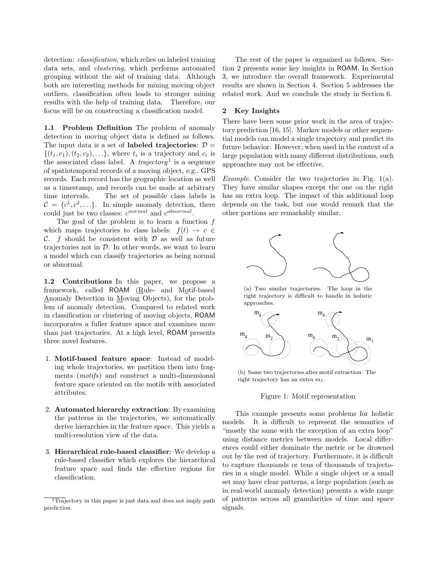detection: classification, which relies on labeled training data sets, and clustering, which performs automated grouping without the aid of training data. Although both are interesting methods for mining moving object outliers, classification often leads to stronger mining results with the help of training data. Therefore, our focus will be on constructing a classification model.

1.1 Problem Definition The problem of anomaly detection in moving object data is defined as follows. The input data is a set of labeled trajectories:  $\mathcal{D} =$  $\{(t_1, c_1), (t_2, c_2), \ldots\}$ , where  $t_i$  is a trajectory and  $c_i$  is the associated class label. A *trajectory*<sup>1</sup> is a sequence of spatiotemporal records of a moving object, e.g., GPS records. Each record has the geographic location as well as a timestamp, and records can be made at arbitrary time intervals. The set of possible class labels is  $\mathcal{C} = \{c^1, c^2, \ldots\}.$  In simple anomaly detection, there could just be two classes:  $c^{normal}$  and  $c^{abnormal}$ .

The goal of the problem is to learn a function f which maps trajectories to class labels:  $f(t) \rightarrow c \in$ C. f should be consistent with  $\mathcal D$  as well as future trajectories not in D. In other words, we want to learn a model which can classify trajectories as being normal or abnormal.

1.2 Contributions In this paper, we propose a framework, called ROAM (Rule- and Motif-based Anomaly Detection in Moving Objects), for the problem of anomaly detection. Compared to related work in classification or clustering of moving objects, ROAM incorporates a fuller feature space and examines more than just trajectories. At a high level, ROAM presents three novel features.

- 1. Motif-based feature space: Instead of modeling whole trajectories, we partition them into fragments (motifs) and construct a multi-dimensional feature space oriented on the motifs with associated attributes.
- 2. Automated hierarchy extraction: By examining the patterns in the trajectories, we automatically derive hierarchies in the feature space. This yields a multi-resolution view of the data.
- 3. Hierarchical rule-based classifier: We develop a rule-based classifier which explores the hierarchical feature space and finds the effective regions for classification.

The rest of the paper is organized as follows. Section 2 presents some key insights in ROAM. In Section 3, we introduce the overall framework. Experimental results are shown in Section 4. Section 5 addresses the related work. And we conclude the study in Section 6.

# 2 Key Insights

There have been some prior work in the area of trajectory prediction [16, 15]. Markov models or other sequential models can model a single trajectory and predict its future behavior. However, when used in the context of a large population with many different distributions, such approaches may not be effective.

*Example.* Consider the two trajectories in Fig.  $1(a)$ . They have similar shapes except the one on the right has an extra loop. The impact of this additional loop depends on the task, but one would remark that the other portions are remarkably similar.



(a) Two similar trajectories. The loop in the right trajectory is difficult to handle in holistic approaches.



(b) Same two trajectories after motif extraction. The right trajectory has an extra  $m_1$ .

## Figure 1: Motif representation

This example presents some problems for holistic models. It is difficult to represent the semantics of "mostly the same with the exception of an extra loop" using distance metrics between models. Local differences could either dominate the metric or be drowned out by the rest of trajectory. Furthermore, it is difficult to capture thousands or tens of thousands of trajectories in a single model. While a single object or a small set may have clear patterns, a large population (such as in real-world anomaly detection) presents a wide range of patterns across all granularities of time and space signals.

 $\overline{1_{\text{Tra}}}$  jectory in this paper is just data and does not imply path prediction.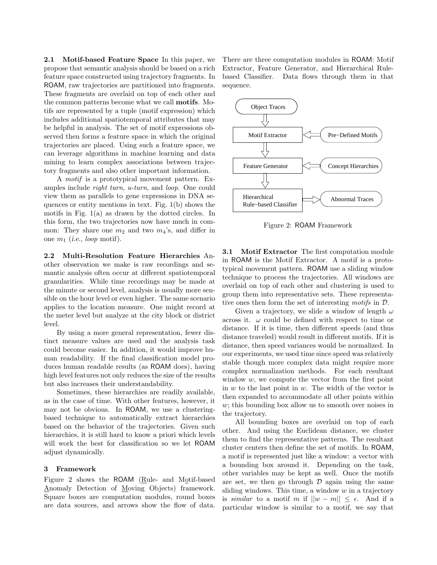2.1 Motif-based Feature Space In this paper, we propose that semantic analysis should be based on a rich feature space constructed using trajectory fragments. In ROAM, raw trajectories are partitioned into fragments. These fragments are overlaid on top of each other and the common patterns become what we call motifs. Motifs are represented by a tuple (motif expression) which includes additional spatiotemporal attributes that may be helpful in analysis. The set of motif expressions observed then forms a feature space in which the original trajectories are placed. Using such a feature space, we can leverage algorithms in machine learning and data mining to learn complex associations between trajectory fragments and also other important information.

A motif is a prototypical movement pattern. Examples include right turn, u-turn, and loop. One could view them as parallels to gene expressions in DNA sequences or entity mentions in text. Fig. 1(b) shows the motifs in Fig. 1(a) as drawn by the dotted circles. In this form, the two trajectories now have much in common: They share one  $m_2$  and two  $m_4$ 's, and differ in one  $m_1$  (i.e., loop motif).

2.2 Multi-Resolution Feature Hierarchies Another observation we make is raw recordings and semantic analysis often occur at different spatiotemporal granularities. While time recordings may be made at the minute or second level, analysis is usually more sensible on the hour level or even higher. The same scenario applies to the location measure. One might record at the meter level but analyze at the city block or district level.

By using a more general representation, fewer distinct measure values are used and the analysis task could become easier. In addition, it would improve human readability. If the final classification model produces human readable results (as ROAM does), having high level features not only reduces the size of the results but also increases their understandability.

Sometimes, these hierarchies are readily available, as in the case of time. With other features, however, it may not be obvious. In ROAM, we use a clusteringbased technique to automatically extract hierarchies based on the behavior of the trajectories. Given such hierarchies, it is still hard to know a priori which levels will work the best for classification so we let ROAM adjust dynamically.

#### 3 Framework

Figure 2 shows the ROAM (Rule- and Motif-based Anomaly Detection of Moving Objects) framework. Square boxes are computation modules, round boxes are data sources, and arrows show the flow of data. There are three computation modules in ROAM: Motif Extractor, Feature Generator, and Hierarchical Rulebased Classifier. Data flows through them in that sequence.



Figure 2: ROAM Framework

3.1 Motif Extractor The first computation module in ROAM is the Motif Extractor. A motif is a prototypical movement pattern. ROAM use a sliding window technique to process the trajectories. All windows are overlaid on top of each other and clustering is used to group them into representative sets. These representative ones then form the set of interesting motifs in D.

Given a trajectory, we slide a window of length  $\omega$ across it.  $\omega$  could be defined with respect to time or distance. If it is time, then different speeds (and thus distance traveled) would result in different motifs. If it is distance, then speed variances would be normalized. In our experiments, we used time since speed was relatively stable though more complex data might require more complex normalization methods. For each resultant window  $w$ , we compute the vector from the first point in  $w$  to the last point in  $w$ . The width of the vector is then expanded to accommodate all other points within w; this bounding box allow us to smooth over noises in the trajectory.

All bounding boxes are overlaid on top of each other. And using the Euclidean distance, we cluster them to find the representative patterns. The resultant cluster centers then define the set of motifs. In ROAM, a motif is represented just like a window: a vector with a bounding box around it. Depending on the task, other variables may be kept as well. Once the motifs are set, we then go through  $\mathcal D$  again using the same sliding windows. This time, a window  $w$  in a trajectory is similar to a motif m if  $||w - m|| < \epsilon$ . And if a particular window is similar to a motif, we say that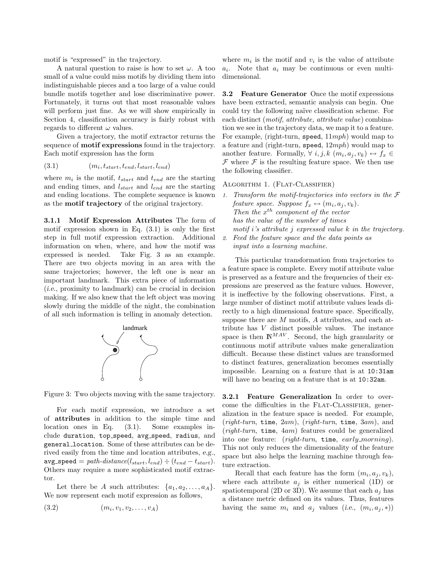motif is "expressed" in the trajectory.

A natural question to raise is how to set  $\omega$ . A too small of a value could miss motifs by dividing them into indistinguishable pieces and a too large of a value could bundle motifs together and lose discriminative power. Fortunately, it turns out that most reasonable values will perform just fine. As we will show empirically in Section 4, classification accuracy is fairly robust with regards to different  $\omega$  values.

Given a trajectory, the motif extractor returns the sequence of motif expressions found in the trajectory. Each motif expression has the form

$$
(3.1) \qquad (m_i, t_{start}, t_{end}, l_{start}, l_{end})
$$

where  $m_i$  is the motif,  $t_{start}$  and  $t_{end}$  are the starting and ending times, and  $l_{start}$  and  $l_{end}$  are the starting and ending locations. The complete sequence is known as the motif trajectory of the original trajectory.

3.1.1 Motif Expression Attributes The form of motif expression shown in Eq.  $(3.1)$  is only the first step in full motif expression extraction. Additional information on when, where, and how the motif was expressed is needed. Take Fig. 3 as an example. There are two objects moving in an area with the same trajectories; however, the left one is near an important landmark. This extra piece of information (i.e., proximity to landmark) can be crucial in decision making. If we also knew that the left object was moving slowly during the middle of the night, the combination of all such information is telling in anomaly detection.



Figure 3: Two objects moving with the same trajectory.

For each motif expression, we introduce a set of attributes in addition to the simple time and location ones in Eq. (3.1). Some examples include duration, top\_speed, avg\_speed, radius, and general location. Some of these attributes can be derived easily from the time and location attributes, e.g.,  $\texttt{avg\_speed} = path-distance(l_{start}, l_{end}) \div (t_{end} - t_{start}).$ Others may require a more sophisticated motif extractor.

Let there be A such attributes:  $\{a_1, a_2, \ldots, a_A\}$ . We now represent each motif expression as follows,

$$
(3.2) \t\t\t (m_i, v_1, v_2, \ldots, v_A)
$$

where  $m_i$  is the motif and  $v_i$  is the value of attribute  $a_i$ . Note that  $a_i$  may be continuous or even multidimensional.

3.2 Feature Generator Once the motif expressions have been extracted, semantic analysis can begin. One could try the following na¨ıve classification scheme. For each distinct (*motif, attribute, attribute value*) combination we see in the trajectory data, we map it to a feature. For example, (right-turn, speed,  $11mph$ ) would map to a feature and (right-turn, speed,  $12mph$ ) would map to another feature. Formally,  $\forall i, j, k \ (m_i, a_j, v_k) \leftrightarrow f_x \in$  $\mathcal F$  where  $\mathcal F$  is the resulting feature space. We then use the following classifier.

# Algorithm 1. (Flat-Classifier)

- 1. Transform the motif-trajectories into vectors in the  $\mathcal F$ feature space. Suppose  $f_x \leftrightarrow (m_i, a_j, v_k)$ . Then the  $x^{th}$  component of the vector has the value of the number of times motif i's attribute j expressed value k in the trajectory.
- 2. Feed the feature space and the data points as input into a learning machine.

This particular transformation from trajectories to a feature space is complete. Every motif attribute value is preserved as a feature and the frequencies of their expressions are preserved as the feature values. However, it is ineffective by the following observations. First, a large number of distinct motif attribute values leads directly to a high dimensional feature space. Specifically, suppose there are M motifs, A attributes, and each attribute has V distinct possible values. The instance space is then  $\mathbb{N}^{MAV}$ . Second, the high granularity or continuous motif attribute values make generalization difficult. Because these distinct values are transformed to distinct features, generalization becomes essentially impossible. Learning on a feature that is at 10:31am will have no bearing on a feature that is at 10:32am.

3.2.1 Feature Generalization In order to overcome the difficulties in the FLAT-CLASSIFIER, generalization in the feature space is needed. For example,  $(right-turn, time, 2am), (right-turn, time, 3am), and$  $(right-turn, time, 4am)$  features could be generalized into one feature: (right-turn, time, early\_morning). This not only reduces the dimensionality of the feature space but also helps the learning machine through feature extraction.

Recall that each feature has the form  $(m_i, a_j, v_k)$ , where each attribute  $a_j$  is either numerical (1D) or spatiotemporal (2D or 3D). We assume that each  $a_i$  has a distance metric defined on its values. Thus, features having the same  $m_i$  and  $a_j$  values (i.e.,  $(m_i, a_j, *)$ )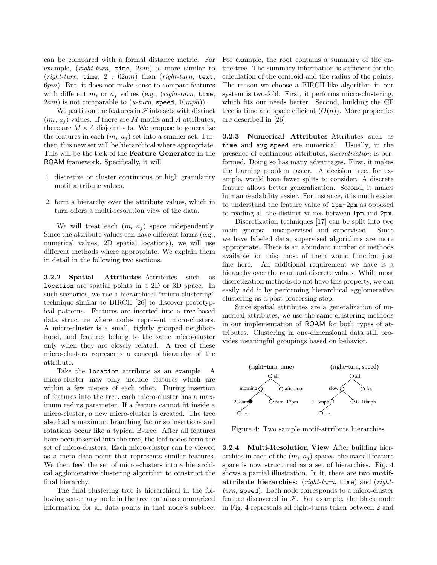can be compared with a formal distance metric. For example,  $(right-turn, time, 2am)$  is more similar to  $(right-turn, time, 2 : 02am)$  than  $(right-turn, text,$ 6pm). But, it does not make sense to compare features with different  $m_i$  or  $a_j$  values (e.g., (right-turn, time,  $(2am)$  is not comparable to  $(u\text{-}turn, \text{speed}, 10mph)).$ 

We partition the features in  $\mathcal F$  into sets with distinct  $(m_i, a_j)$  values. If there are M motifs and A attributes, there are  $M \times A$  disjoint sets. We propose to generalize the features in each  $(m_i, a_j)$  set into a smaller set. Further, this new set will be hierarchical where appropriate. This will be the task of the Feature Generator in the ROAM framework. Specifically, it will

- 1. discretize or cluster continuous or high granularity motif attribute values.
- 2. form a hierarchy over the attribute values, which in turn offers a multi-resolution view of the data.

We will treat each  $(m_i, a_j)$  space independently. Since the attribute values can have different forms (e.g., numerical values, 2D spatial locations), we will use different methods where appropriate. We explain them in detail in the following two sections.

3.2.2 Spatial Attributes Attributes such as location are spatial points in a 2D or 3D space. In such scenarios, we use a hierarchical "micro-clustering" technique similar to BIRCH [26] to discover prototypical patterns. Features are inserted into a tree-based data structure where nodes represent micro-clusters. A micro-cluster is a small, tightly grouped neighborhood, and features belong to the same micro-cluster only when they are closely related. A tree of these micro-clusters represents a concept hierarchy of the attribute.

Take the location attribute as an example. A micro-cluster may only include features which are within a few meters of each other. During insertion of features into the tree, each micro-cluster has a maximum radius parameter. If a feature cannot fit inside a micro-cluster, a new micro-cluster is created. The tree also had a maximum branching factor so insertions and rotations occur like a typical B-tree. After all features have been inserted into the tree, the leaf nodes form the set of micro-clusters. Each micro-cluster can be viewed as a meta data point that represents similar features. We then feed the set of micro-clusters into a hierarchical agglomerative clustering algorithm to construct the final hierarchy.

The final clustering tree is hierarchical in the following sense: any node in the tree contains summarized information for all data points in that node's subtree. For example, the root contains a summary of the entire tree. The summary information is sufficient for the calculation of the centroid and the radius of the points. The reason we choose a BIRCH-like algorithm in our system is two-fold. First, it performs micro-clustering, which fits our needs better. Second, building the CF tree is time and space efficient  $(O(n))$ . More properties are described in [26].

3.2.3 Numerical Attributes Attributes such as time and avg speed are numerical. Usually, in the presence of continuous attributes, discretization is performed. Doing so has many advantages. First, it makes the learning problem easier. A decision tree, for example, would have fewer splits to consider. A discrete feature allows better generalization. Second, it makes human readability easier. For instance, it is much easier to understand the feature value of 1pm-2pm as opposed to reading all the distinct values between 1pm and 2pm.

Discretization techniques [17] can be split into two main groups: unsupervised and supervised. Since we have labeled data, supervised algorithms are more appropriate. There is an abundant number of methods available for this; most of them would function just fine here. An additional requirement we have is a hierarchy over the resultant discrete values. While most discretization methods do not have this property, we can easily add it by performing hierarchical agglomerative clustering as a post-processing step.

Since spatial attributes are a generalization of numerical attributes, we use the same clustering methods in our implementation of ROAM for both types of attributes. Clustering in one-dimensional data still provides meaningful groupings based on behavior.



Figure 4: Two sample motif-attribute hierarchies

3.2.4 Multi-Resolution View After building hierarchies in each of the  $(m_i, a_j)$  spaces, the overall feature space is now structured as a set of hierarchies. Fig. 4 shows a partial illustration. In it, there are two motifattribute hierarchies: (right-turn, time) and (rightturn, speed). Each node corresponds to a micro-cluster feature discovered in  $\mathcal F$ . For example, the black node in Fig. 4 represents all right-turns taken between 2 and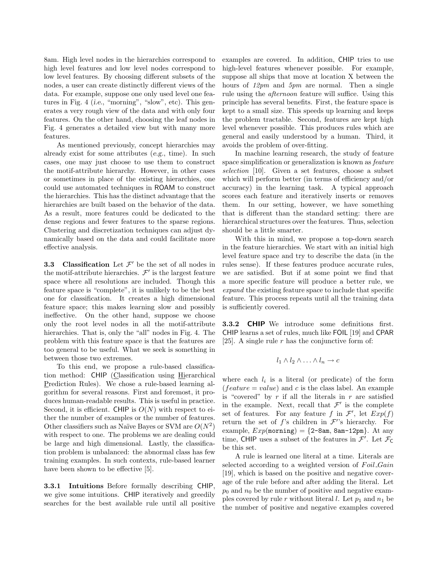8am. High level nodes in the hierarchies correspond to high level features and low level nodes correspond to low level features. By choosing different subsets of the nodes, a user can create distinctly different views of the data. For example, suppose one only used level one features in Fig. 4 (i.e., "morning", "slow", etc). This generates a very rough view of the data and with only four features. On the other hand, choosing the leaf nodes in Fig. 4 generates a detailed view but with many more features.

As mentioned previously, concept hierarchies may already exist for some attributes (e.g., time). In such cases, one may just choose to use them to construct the motif-attribute hierarchy. However, in other cases or sometimes in place of the existing hierarchies, one could use automated techniques in ROAM to construct the hierarchies. This has the distinct advantage that the hierarchies are built based on the behavior of the data. As a result, more features could be dedicated to the dense regions and fewer features to the sparse regions. Clustering and discretization techniques can adjust dynamically based on the data and could facilitate more effective analysis.

**3.3** Classification Let  $\mathcal{F}'$  be the set of all nodes in the motif-attribute hierarchies.  $\mathcal{F}'$  is the largest feature space where all resolutions are included. Though this feature space is "complete", it is unlikely to be the best one for classification. It creates a high dimensional feature space; this makes learning slow and possibly ineffective. On the other hand, suppose we choose only the root level nodes in all the motif-attribute hierarchies. That is, only the "all" nodes in Fig. 4. The problem with this feature space is that the features are too general to be useful. What we seek is something in between those two extremes.

To this end, we propose a rule-based classification method: CHIP (Classification using Hierarchical Prediction Rules). We chose a rule-based learning algorithm for several reasons. First and foremost, it produces human-readable results. This is useful in practice. Second, it is efficient. CHIP is  $O(N)$  with respect to either the number of examples or the number of features. Other classifiers such as Naïve Bayes or SVM are  $O(N^2)$ with respect to one. The problems we are dealing could be large and high dimensional. Lastly, the classification problem is unbalanced: the abnormal class has few training examples. In such contexts, rule-based learner have been shown to be effective [5].

3.3.1 Intuitions Before formally describing CHIP, we give some intuitions. CHIP iteratively and greedily searches for the best available rule until all positive

examples are covered. In addition, CHIP tries to use high-level features whenever possible. For example, suppose all ships that move at location X between the hours of  $12pm$  and  $5pm$  are normal. Then a single rule using the afternoon feature will suffice. Using this principle has several benefits. First, the feature space is kept to a small size. This speeds up learning and keeps the problem tractable. Second, features are kept high level whenever possible. This produces rules which are general and easily understood by a human. Third, it avoids the problem of over-fitting.

In machine learning research, the study of feature space simplification or generalization is known as feature selection [10]. Given a set features, choose a subset which will perform better (in terms of efficiency and/or accuracy) in the learning task. A typical approach scores each feature and iteratively inserts or removes them. In our setting, however, we have something that is different than the standard setting: there are hierarchical structures over the features. Thus, selection should be a little smarter.

With this in mind, we propose a top-down search in the feature hierarchies. We start with an initial high level feature space and try to describe the data (in the rules sense). If these features produce accurate rules, we are satisfied. But if at some point we find that a more specific feature will produce a better rule, we expand the existing feature space to include that specific feature. This process repeats until all the training data is sufficiently covered.

3.3.2 CHIP We introduce some definitions first. CHIP learns a set of rules, much like FOIL [19] and CPAR [25]. A single rule  $r$  has the conjunctive form of:

$$
l_1 \wedge l_2 \wedge \ldots \wedge l_n \to c
$$

where each  $l_i$  is a literal (or predicate) of the form  $(feature = value)$  and c is the class label. An example is "covered" by  $r$  if all the literals in  $r$  are satisfied in the example. Next, recall that  $\mathcal{F}'$  is the complete set of features. For any feature f in  $\mathcal{F}'$ , let  $Exp(f)$ return the set of  $f$ 's children in  $\mathcal{F}'$ 's hierarchy. For example,  $Exp(morning) = \{2-8am, 8am-12pm\}$ . At any time, CHIP uses a subset of the features in  $\mathcal{F}'$ . Let  $\mathcal{F}_C$ be this set.

A rule is learned one literal at a time. Literals are selected according to a weighted version of  $FoiLGain$ [19], which is based on the positive and negative coverage of the rule before and after adding the literal. Let  $p_0$  and  $n_0$  be the number of positive and negative examples covered by rule r without literal l. Let  $p_1$  and  $n_1$  be the number of positive and negative examples covered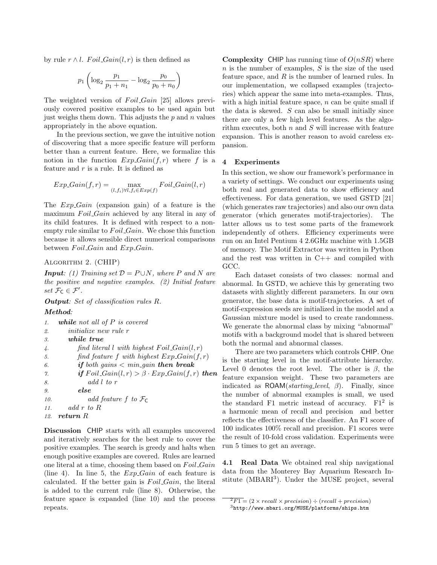by rule  $r \wedge l$ . Foil  $Gain(l, r)$  is then defined as

$$
p_1 \left( \log_2 \frac{p_1}{p_1 + n_1} - \log_2 \frac{p_0}{p_0 + n_0} \right)
$$

The weighted version of  $Foli\_Gain$  [25] allows previously covered positive examples to be used again but just weighs them down. This adjusts the  $p$  and  $n$  values appropriately in the above equation.

In the previous section, we gave the intuitive notion of discovering that a more specific feature will perform better than a current feature. Here, we formalize this notion in the function  $Exp\_Gain(f, r)$  where f is a feature and  $r$  is a rule. It is defined as

$$
Exp\_Gain(f, r) = \max_{(l, f_i) \forall l, f_i \in Exp(f)} Foil\_Gain(l, r)
$$

The  $Exp\_Gain$  (expansion gain) of a feature is the maximum Foil\_Gain achieved by any literal in any of its child features. It is defined with respect to a nonempty rule similar to  $FoiLGain$ . We chose this function because it allows sensible direct numerical comparisons between Foil\_Gain and Exp\_Gain.

Algorithm 2. (CHIP)

**Input:** (1) Training set  $\mathcal{D} = P \cup N$ , where P and N are the positive and negative examples. (2) Initial feature set  $\mathcal{F}_\mathsf{C} \in \mathcal{F}'$ .

Output: Set of classification rules R.

# Method:

| 1.              | <b>while</b> not all of $P$ is covered                        |
|-----------------|---------------------------------------------------------------|
| 2.              | <i>initialize new rule r</i>                                  |
| 3.              | <i>ushile true</i>                                            |
| $\frac{1}{4}$ . | find literal l with highest $FoiLGain(l, r)$                  |
| 5.              | find feature f with highest $Exp\_Gain(f, r)$                 |
| 6.              | <i>if both gains <math>\langle</math> min_gain then break</i> |
| 7.              | if $FoiLGain(l, r) > \beta \cdot Exp\_Gain(f, r)$ then        |
| 8.              | add l to r                                                    |
| 9.              | else                                                          |
| 10.             | add feature f to $\mathcal{F}_c$                              |
| 11.             | add r to R                                                    |
| 12.             | return R                                                      |

Discussion CHIP starts with all examples uncovered and iteratively searches for the best rule to cover the positive examples. The search is greedy and halts when enough positive examples are covered. Rules are learned one literal at a time, choosing them based on  $FoiLGain$ (line 4). In line 5, the  $Exp\_Gain$  of each feature is calculated. If the better gain is  $Foli\_Gain$ , the literal is added to the current rule (line 8). Otherwise, the feature space is expanded (line 10) and the process repeats.

**Complexity** CHIP has running time of  $O(nSR)$  where  $n$  is the number of examples,  $S$  is the size of the used feature space, and  $R$  is the number of learned rules. In our implementation, we collapsed examples (trajectories) which appear the same into meta-examples. Thus, with a high initial feature space,  $n$  can be quite small if the data is skewed.  $S$  can also be small initially since there are only a few high level features. As the algorithm executes, both  $n$  and  $S$  will increase with feature expansion. This is another reason to avoid careless expansion.

# 4 Experiments

In this section, we show our framework's performance in a variety of settings. We conduct our experiments using both real and generated data to show efficiency and effectiveness. For data generation, we used GSTD [21] (which generates raw trajectories) and also our own data generator (which generates motif-trajectories). The latter allows us to test some parts of the framework independently of others. Efficiency experiments were run on an Intel Pentium 4 2.6GHz machine with 1.5GB of memory. The Motif Extractor was written in Python and the rest was written in C++ and compiled with GCC.

Each dataset consists of two classes: normal and abnormal. In GSTD, we achieve this by generating two datasets with slightly different parameters. In our own generator, the base data is motif-trajectories. A set of motif-expression seeds are initialized in the model and a Gaussian mixture model is used to create randomness. We generate the abnormal class by mixing "abnormal" motifs with a background model that is shared between both the normal and abnormal classes.

There are two parameters which controls CHIP. One is the starting level in the motif-attribute hierarchy. Level 0 denotes the root level. The other is  $\beta$ , the feature expansion weight. These two parameters are indicated as  $\text{ROAM}(starting\_level, \beta)$ . Finally, since the number of abnormal examples is small, we used the standard F1 metric instead of accuracy.  $F1^2$  is a harmonic mean of recall and precision and better reflects the effectiveness of the classifier. An F1 score of 100 indicates 100% recall and precision. F1 scores were the result of 10-fold cross validation. Experiments were run 5 times to get an average.

4.1 Real Data We obtained real ship navigational data from the Monterey Bay Aquarium Research Institute (MBARI<sup>3</sup>). Under the MUSE project, several

 $2F1 = (2 \times recall \times precision) \div (recall + precision)$  $^3$ http://www.mbari.org/MUSE/platforms/ships.htm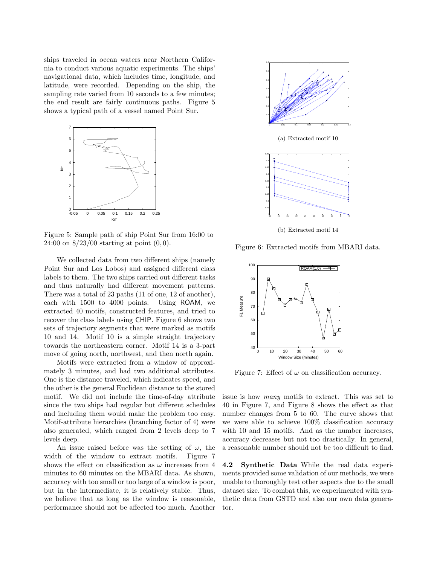ships traveled in ocean waters near Northern California to conduct various aquatic experiments. The ships' navigational data, which includes time, longitude, and latitude, were recorded. Depending on the ship, the sampling rate varied from 10 seconds to a few minutes; the end result are fairly continuous paths. Figure 5 shows a typical path of a vessel named Point Sur.



Figure 5: Sample path of ship Point Sur from 16:00 to 24:00 on  $8/23/00$  starting at point  $(0, 0)$ .

We collected data from two different ships (namely Point Sur and Los Lobos) and assigned different class labels to them. The two ships carried out different tasks and thus naturally had different movement patterns. There was a total of 23 paths (11 of one, 12 of another), each with 1500 to 4000 points. Using ROAM, we extracted 40 motifs, constructed features, and tried to recover the class labels using CHIP. Figure 6 shows two sets of trajectory segments that were marked as motifs 10 and 14. Motif 10 is a simple straight trajectory towards the northeastern corner. Motif 14 is a 3-part move of going north, northwest, and then north again.

Motifs were extracted from a window of approximately 3 minutes, and had two additional attributes. One is the distance traveled, which indicates speed, and the other is the general Euclidean distance to the stored motif. We did not include the time-of-day attribute since the two ships had regular but different schedules and including them would make the problem too easy. Motif-attribute hierarchies (branching factor of 4) were also generated, which ranged from 2 levels deep to 7 levels deep.

An issue raised before was the setting of  $\omega$ , the width of the window to extract motifs. Figure 7 shows the effect on classification as  $\omega$  increases from 4 minutes to 60 minutes on the MBARI data. As shown, accuracy with too small or too large of a window is poor, but in the intermediate, it is relatively stable. Thus, we believe that as long as the window is reasonable, performance should not be affected too much. Another



(a) Extracted motif 10



(b) Extracted motif 14

Figure 6: Extracted motifs from MBARI data.



Figure 7: Effect of  $\omega$  on classification accuracy.

issue is how many motifs to extract. This was set to 40 in Figure 7, and Figure 8 shows the effect as that number changes from 5 to 60. The curve shows that we were able to achieve 100% classification accuracy with 10 and 15 motifs. And as the number increases, accuracy decreases but not too drastically. In general, a reasonable number should not be too difficult to find.

4.2 Synthetic Data While the real data experiments provided some validation of our methods, we were unable to thoroughly test other aspects due to the small dataset size. To combat this, we experimented with synthetic data from GSTD and also our own data generator.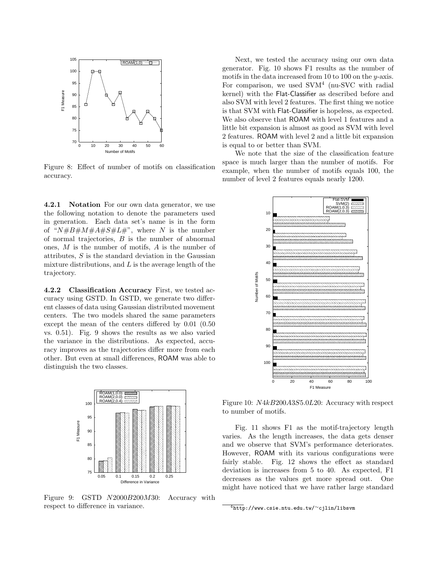

Figure 8: Effect of number of motifs on classification accuracy.

4.2.1 Notation For our own data generator, we use the following notation to denote the parameters used in generation. Each data set's name is in the form of " $N\#B\#M\#A\#S\#L\#$ ", where N is the number of normal trajectories,  $B$  is the number of abnormal ones, M is the number of motifs, A is the number of attributes, S is the standard deviation in the Gaussian mixture distributions, and  $L$  is the average length of the trajectory.

4.2.2 Classification Accuracy First, we tested accuracy using GSTD. In GSTD, we generate two different classes of data using Gaussian distributed movement centers. The two models shared the same parameters except the mean of the centers differed by 0.01 (0.50 vs. 0.51). Fig. 9 shows the results as we also varied the variance in the distributions. As expected, accuracy improves as the trajectories differ more from each other. But even at small differences, ROAM was able to distinguish the two classes.



Figure 9: GSTD N2000B200M30: Accuracy with respect to difference in variance.

Next, we tested the accuracy using our own data generator. Fig. 10 shows F1 results as the number of motifs in the data increased from 10 to 100 on the  $y$ -axis. For comparison, we used SVM<sup>4</sup> (nu-SVC with radial kernel) with the Flat-Classifier as described before and also SVM with level 2 features. The first thing we notice is that SVM with Flat-Classifier is hopeless, as expected. We also observe that ROAM with level 1 features and a little bit expansion is almost as good as SVM with level 2 features. ROAM with level 2 and a little bit expansion is equal to or better than SVM.

We note that the size of the classification feature space is much larger than the number of motifs. For example, when the number of motifs equals 100, the number of level 2 features equals nearly 1200.



Figure 10:  $N4kB200A3S5.0L20$ : Accuracy with respect to number of motifs.

Fig. 11 shows F1 as the motif-trajectory length varies. As the length increases, the data gets denser and we observe that SVM's performance deteriorates. However, ROAM with its various configurations were fairly stable. Fig. 12 shows the effect as standard deviation is increases from 5 to 40. As expected, F1 decreases as the values get more spread out. One might have noticed that we have rather large standard

 $^4$ http://www.csie.ntu.edu.tw/~cjlin/libsvm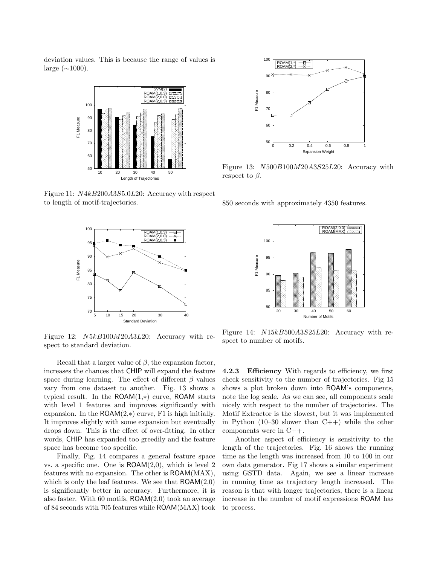deviation values. This is because the range of values is large (∼1000).



Figure 11: N4kB200A3S5.0L20: Accuracy with respect to length of motif-trajectories.



Figure 12: N5kB100M20A3L20: Accuracy with respect to standard deviation.

Recall that a larger value of  $\beta$ , the expansion factor, increases the chances that CHIP will expand the feature space during learning. The effect of different  $\beta$  values vary from one dataset to another. Fig. 13 shows a typical result. In the  $ROAM(1,*)$  curve, ROAM starts with level 1 features and improves significantly with expansion. In the  $\mathsf{ROAM}(2,*)$  curve, F1 is high initially. It improves slightly with some expansion but eventually drops down. This is the effect of over-fitting. In other words, CHIP has expanded too greedily and the feature space has become too specific.

Finally, Fig. 14 compares a general feature space vs. a specific one. One is  $\text{ROAM}(2,0)$ , which is level 2 features with no expansion. The other is ROAM(MAX), which is only the leaf features. We see that  $\mathsf{ROAM}(2,0)$ is significantly better in accuracy. Furthermore, it is also faster. With 60 motifs,  $\text{ROAM}(2,0)$  took an average of 84 seconds with 705 features while ROAM(MAX) took



Figure 13: N500B100M20A3S25L20: Accuracy with respect to  $\beta$ .

850 seconds with approximately 4350 features.



Figure 14:  $N15kB500A3S25L20$ : Accuracy with respect to number of motifs.

4.2.3 Efficiency With regards to efficiency, we first check sensitivity to the number of trajectories. Fig 15 shows a plot broken down into ROAM's components, note the log scale. As we can see, all components scale nicely with respect to the number of trajectories. The Motif Extractor is the slowest, but it was implemented in Python  $(10-30)$  slower than  $C++$ ) while the other components were in C++.

Another aspect of efficiency is sensitivity to the length of the trajectories. Fig. 16 shows the running time as the length was increased from 10 to 100 in our own data generator. Fig 17 shows a similar experiment using GSTD data. Again, we see a linear increase in running time as trajectory length increased. The reason is that with longer trajectories, there is a linear increase in the number of motif expressions ROAM has to process.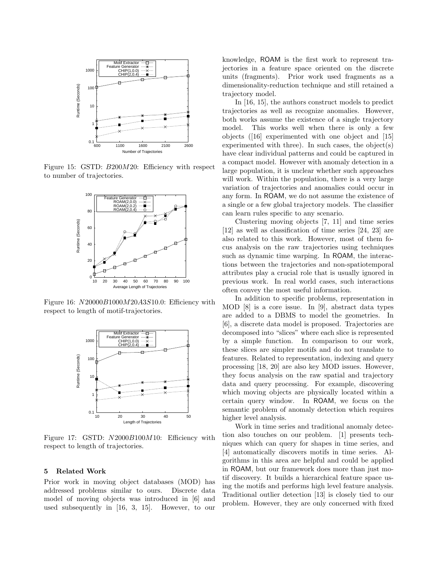

Figure 15: GSTD:  $B200M20$ : Efficiency with respect to number of trajectories.



Figure 16: N20000B1000M20A3S10.0: Efficiency with respect to length of motif-trajectories.



Figure 17: GSTD:  $N2000B100M10$ : Efficiency with respect to length of trajectories.

#### 5 Related Work

Prior work in moving object databases (MOD) has addressed problems similar to ours. Discrete data model of moving objects was introduced in [6] and used subsequently in [16, 3, 15]. However, to our knowledge, ROAM is the first work to represent trajectories in a feature space oriented on the discrete units (fragments). Prior work used fragments as a dimensionality-reduction technique and still retained a trajectory model.

In [16, 15], the authors construct models to predict trajectories as well as recognize anomalies. However, both works assume the existence of a single trajectory model. This works well when there is only a few objects ([16] experimented with one object and [15] experimented with three). In such cases, the object(s) have clear individual patterns and could be captured in a compact model. However with anomaly detection in a large population, it is unclear whether such approaches will work. Within the population, there is a very large variation of trajectories and anomalies could occur in any form. In ROAM, we do not assume the existence of a single or a few global trajectory models. The classifier can learn rules specific to any scenario.

Clustering moving objects [7, 11] and time series [12] as well as classification of time series [24, 23] are also related to this work. However, most of them focus analysis on the raw trajectories using techniques such as dynamic time warping. In ROAM, the interactions between the trajectories and non-spatiotemporal attributes play a crucial role that is usually ignored in previous work. In real world cases, such interactions often convey the most useful information.

In addition to specific problems, representation in MOD [8] is a core issue. In [9], abstract data types are added to a DBMS to model the geometries. In [6], a discrete data model is proposed. Trajectories are decomposed into "slices" where each slice is represented by a simple function. In comparison to our work, these slices are simpler motifs and do not translate to features. Related to representation, indexing and query processing [18, 20] are also key MOD issues. However, they focus analysis on the raw spatial and trajectory data and query processing. For example, discovering which moving objects are physically located within a certain query window. In ROAM, we focus on the semantic problem of anomaly detection which requires higher level analysis.

Work in time series and traditional anomaly detection also touches on our problem. [1] presents techniques which can query for shapes in time series, and [4] automatically discovers motifs in time series. Algorithms in this area are helpful and could be applied in ROAM, but our framework does more than just motif discovery. It builds a hierarchical feature space using the motifs and performs high level feature analysis. Traditional outlier detection [13] is closely tied to our problem. However, they are only concerned with fixed